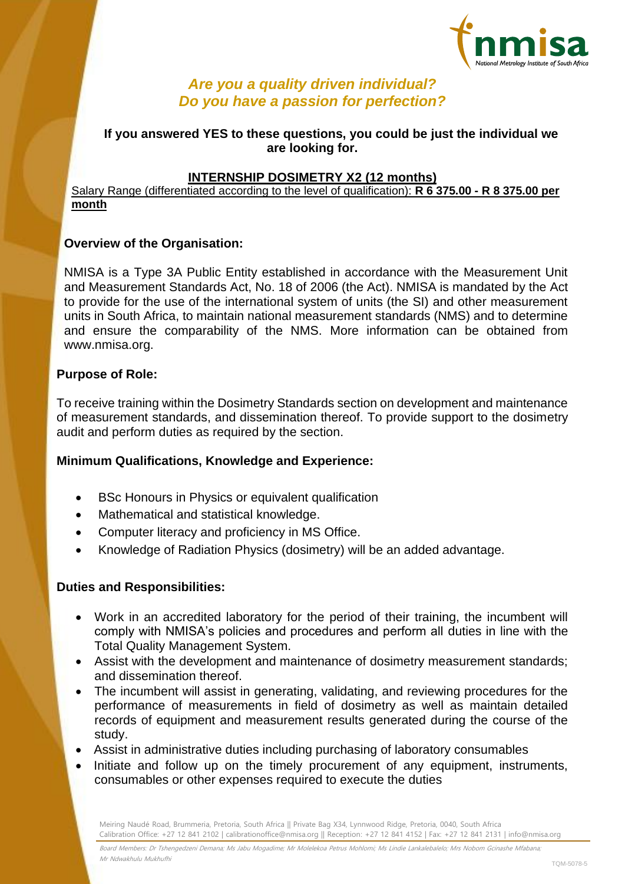

# *Are you a quality driven individual? Do you have a passion for perfection?*

# **If you answered YES to these questions, you could be just the individual we are looking for.**

## **INTERNSHIP DOSIMETRY X2 (12 months)**

Salary Range (differentiated according to the level of qualification): **R 6 375.00 - R 8 375.00 per month**

#### **Overview of the Organisation:**

NMISA is a Type 3A Public Entity established in accordance with the Measurement Unit and Measurement Standards Act, No. 18 of 2006 (the Act). NMISA is mandated by the Act to provide for the use of the international system of units (the SI) and other measurement units in South Africa, to maintain national measurement standards (NMS) and to determine and ensure the comparability of the NMS. More information can be obtained from www.nmisa.org.

#### **Purpose of Role:**

To receive training within the Dosimetry Standards section on development and maintenance of measurement standards, and dissemination thereof. To provide support to the dosimetry audit and perform duties as required by the section.

## **Minimum Qualifications, Knowledge and Experience:**

- BSc Honours in Physics or equivalent qualification
- Mathematical and statistical knowledge.
- Computer literacy and proficiency in MS Office.
- Knowledge of Radiation Physics (dosimetry) will be an added advantage.

## **Duties and Responsibilities:**

- Work in an accredited laboratory for the period of their training, the incumbent will comply with NMISA's policies and procedures and perform all duties in line with the Total Quality Management System.
- Assist with the development and maintenance of dosimetry measurement standards; and dissemination thereof.
- The incumbent will assist in generating, validating, and reviewing procedures for the performance of measurements in field of dosimetry as well as maintain detailed records of equipment and measurement results generated during the course of the study.
- Assist in administrative duties including purchasing of laboratory consumables
- Initiate and follow up on the timely procurement of any equipment, instruments, consumables or other expenses required to execute the duties

Meiring Naudé Road, Brummeria, Pretoria, South Africa || Private Bag X34, Lynnwood Ridge, Pretoria, 0040, South Africa Calibration Office: +27 12 841 2102 | calibrationoffice@nmisa.org || Reception: +27 12 841 4152 | Fax: +27 12 841 2131 | info@nmisa.org